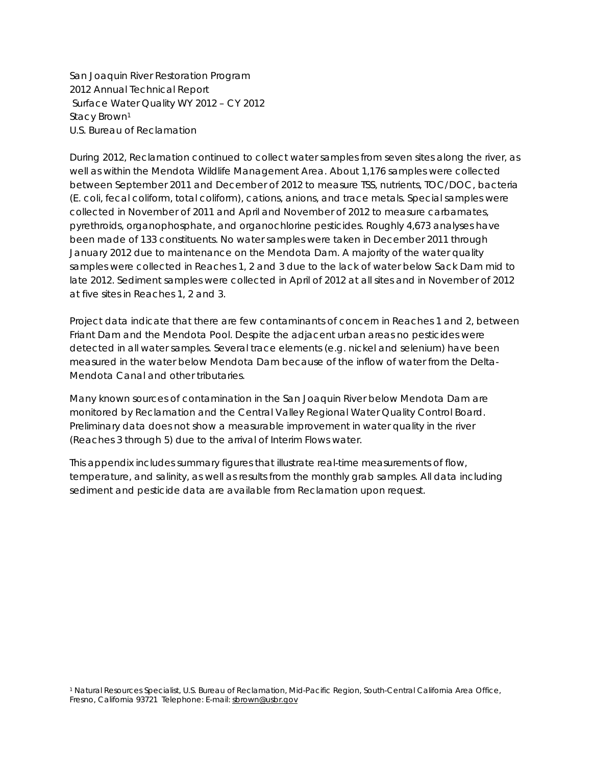San Joaquin River Restoration Program 2012 Annual Technical Report Surface Water Quality WY 2012 – CY 2012 Stacy Brown<sup>1</sup> U.S. Bureau of Reclamation

During 2012, Reclamation continued to collect water samples from seven sites along the river, as well as within the Mendota Wildlife Management Area. About 1,176 samples were collected between September 2011 and December of 2012 to measure TSS, nutrients, TOC/DOC, bacteria (*E. coli*, fecal coliform, total coliform), cations, anions, and trace metals. Special samples were collected in November of 2011 and April and November of 2012 to measure carbamates, pyrethroids, organophosphate, and organochlorine pesticides. Roughly 4,673 analyses have been made of 133 constituents. No water samples were taken in December 2011 through January 2012 due to maintenance on the Mendota Dam. A majority of the water quality samples were collected in Reaches 1, 2 and 3 due to the lack of water below Sack Dam mid to late 2012. Sediment samples were collected in April of 2012 at all sites and in November of 2012 at five sites in Reaches 1, 2 and 3.

Project data indicate that there are few contaminants of concern in Reaches 1 and 2, between Friant Dam and the Mendota Pool. Despite the adjacent urban areas no pesticides were detected in all water samples. Several trace elements (e.g. nickel and selenium) have been measured in the water below Mendota Dam because of the inflow of water from the Delta-Mendota Canal and other tributaries.

Many known sources of contamination in the San Joaquin River below Mendota Dam are monitored by Reclamation and the Central Valley Regional Water Quality Control Board. Preliminary data does not show a measurable improvement in water quality in the river (Reaches 3 through 5) due to the arrival of Interim Flows water.

This appendix includes summary figures that illustrate real-time measurements of flow, temperature, and salinity, as well as results from the monthly grab samples. All data including sediment and pesticide data are available from Reclamation upon request.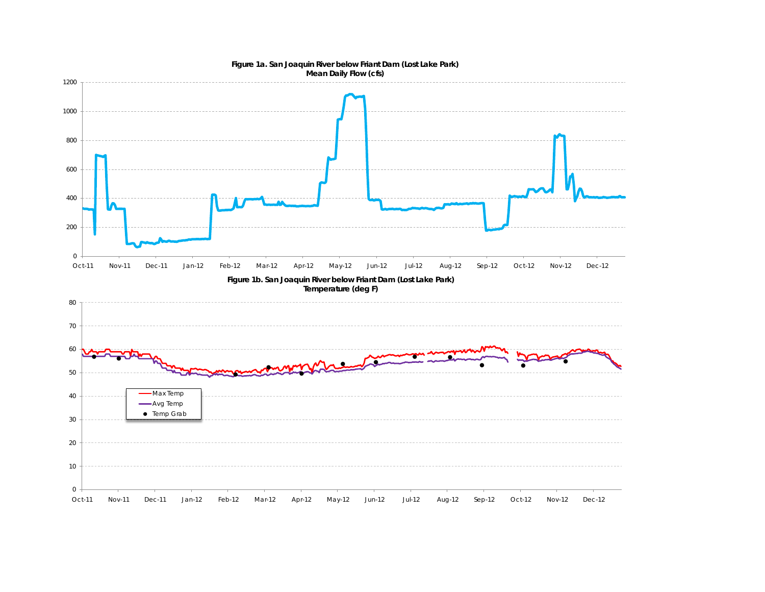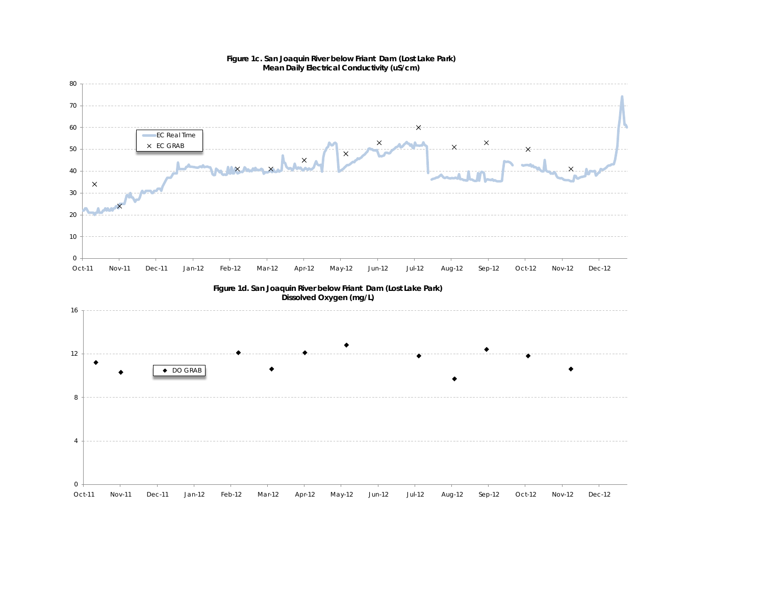

#### **Figure 1c. San Joaquin River below Friant Dam (Lost Lake Park) Mean Daily Electrical Conductivity (uS/cm)**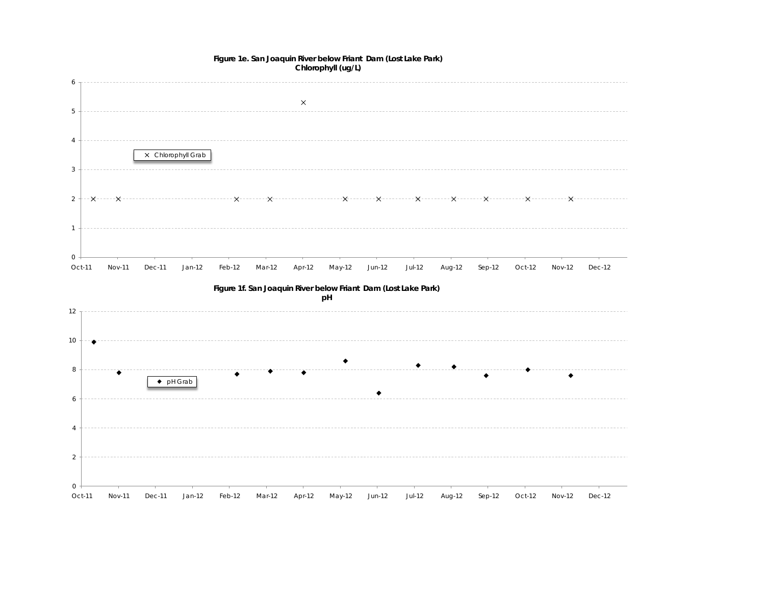

#### **Figure 1e. San Joaquin River below Friant Dam (Lost Lake Park) Chlorophyll (ug/L)**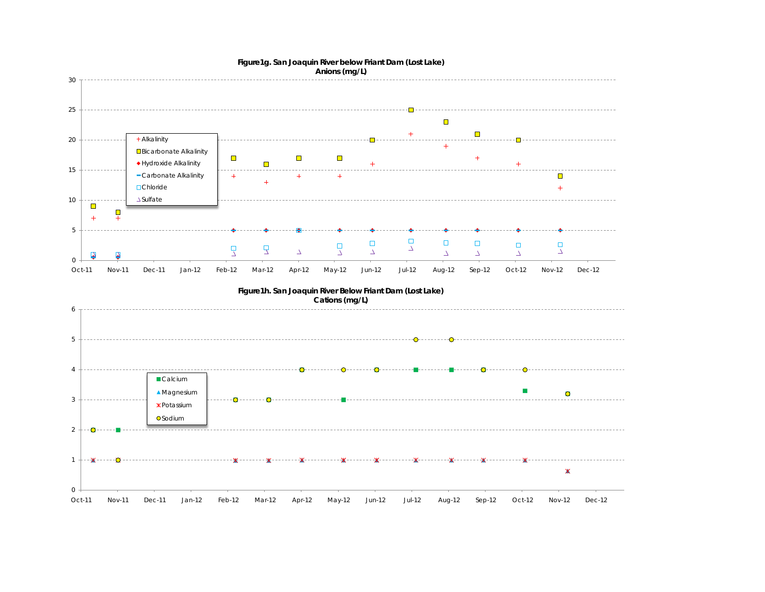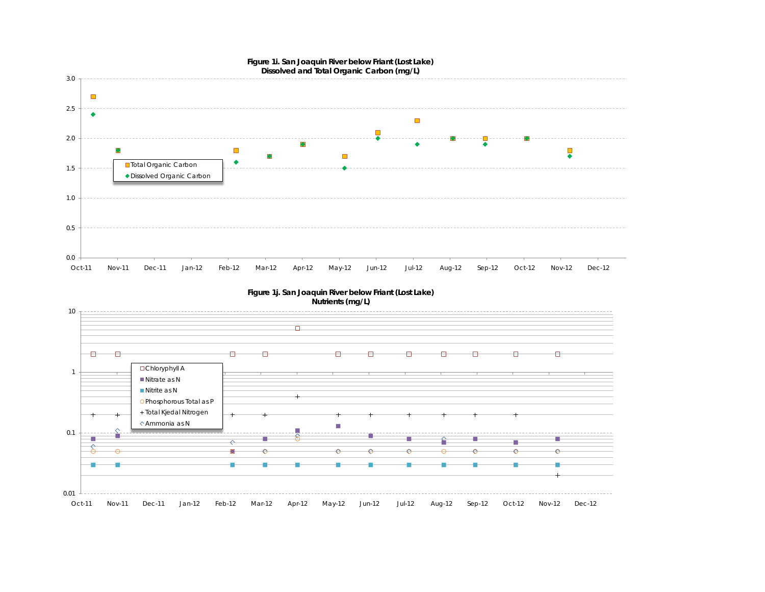

**Figure 1j. San Joaquin River below Friant (Lost Lake) Nutrients (mg/L)**

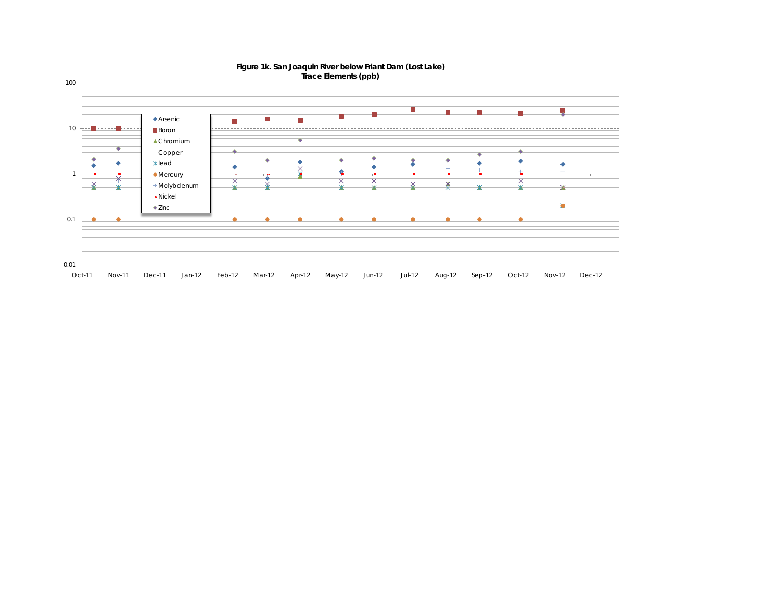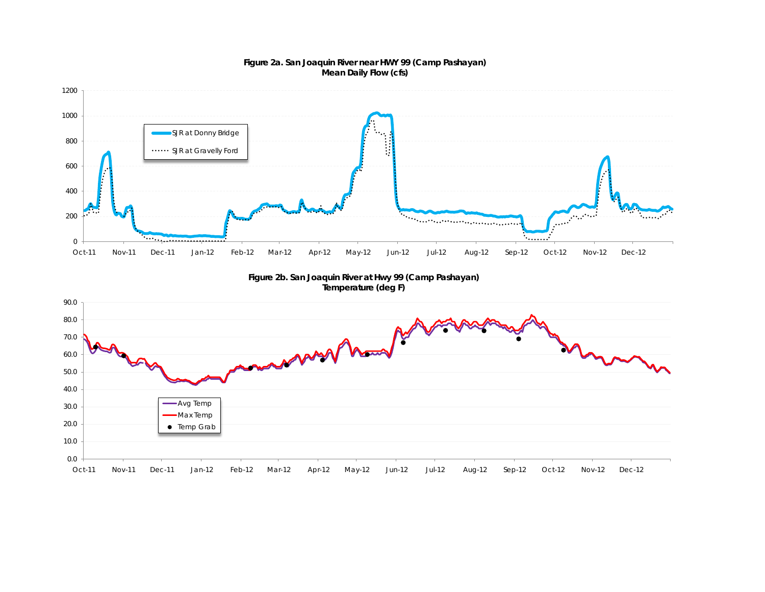

#### **Figure 2a. San Joaquin River near HWY 99 (Camp Pashayan) Mean Daily Flow (cfs)**

Oct-11 Nov-11 Dec-11 Jan-12 Feb-12 Mar-12 Apr-12 May-12 Jun-12 Jul-12 Aug-12 Sep-12 Oct-12 Nov-12 Dec-12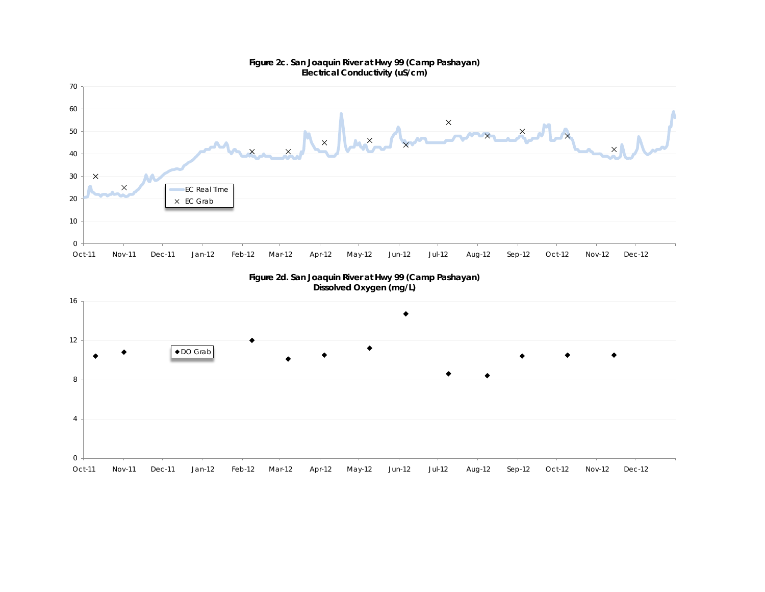

**Figure 2c. San Joaquin River at Hwy 99 (Camp Pashayan)** 

**Figure 2d. San Joaquin River at Hwy 99 (Camp Pashayan) Dissolved Oxygen (mg/L)**

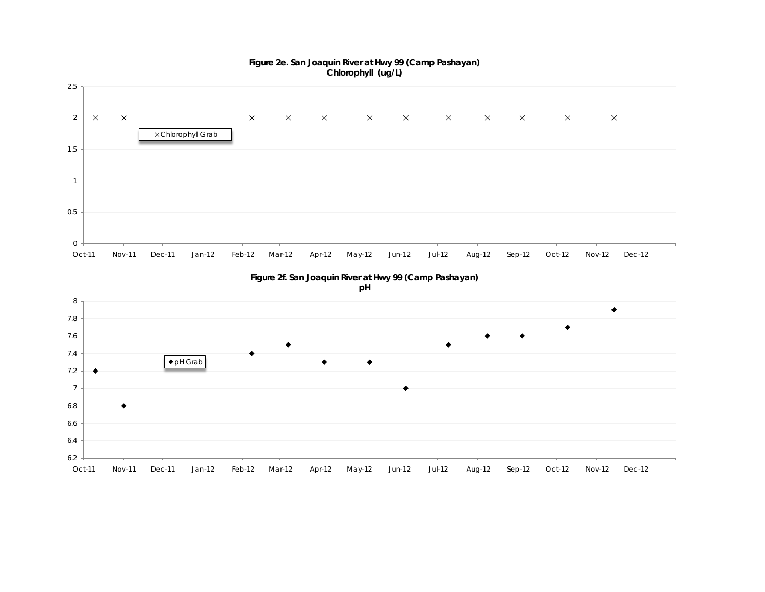

Oct-11 Nov-11 Dec-11 Jan-12 Feb-12 Mar-12 Apr-12 May-12 Jun-12 Jul-12 Aug-12 Sep-12 Oct-12 Nov-12 Dec-12

6.2

**Figure 2e. San Joaquin River at Hwy 99 (Camp Pashayan)**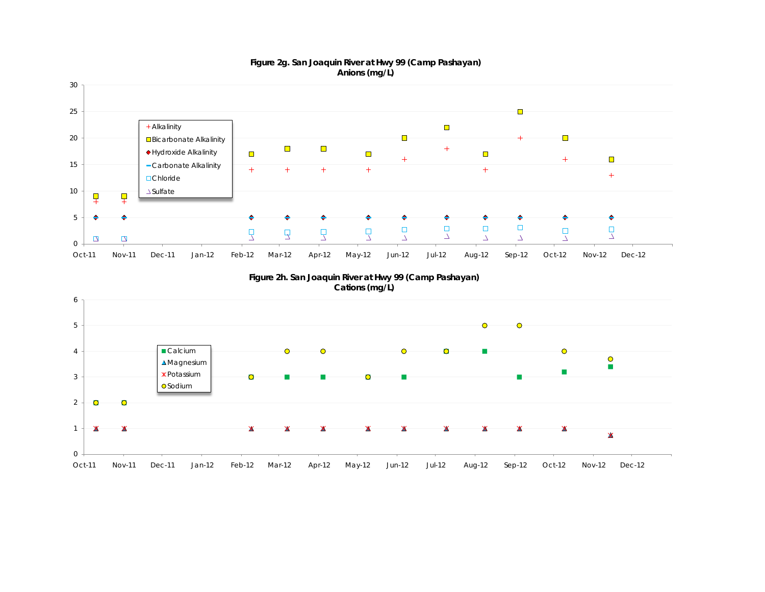

#### **Figure 2g. San Joaquin River at Hwy 99 (Camp Pashayan) Anions (mg/L)**





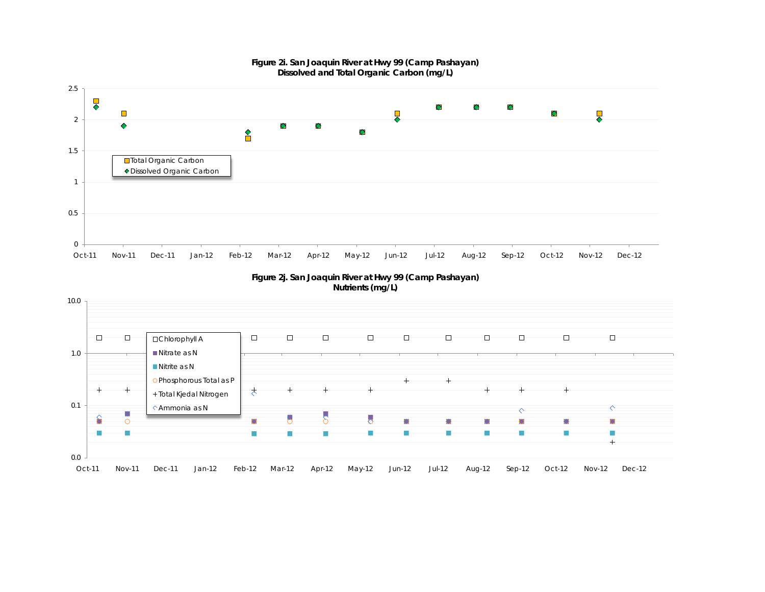

#### **Figure 2i. San Joaquin River at Hwy 99 (Camp Pashayan) Dissolved and Total Organic Carbon (mg/L)**



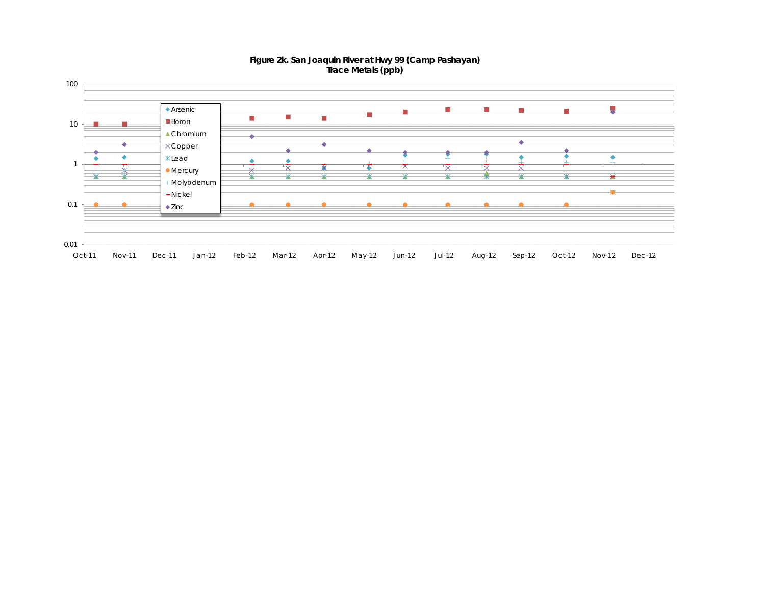

#### **Figure 2k. San Joaquin River at Hwy 99 (Camp Pashayan) Trace Metals (ppb)**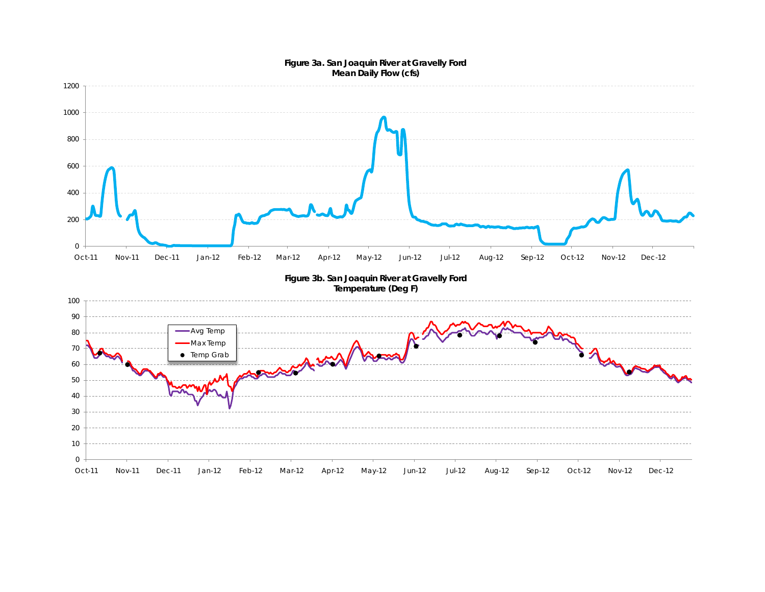#### **Figure 3a. San Joaquin River at Gravelly Ford Mean Daily Flow (cfs)**

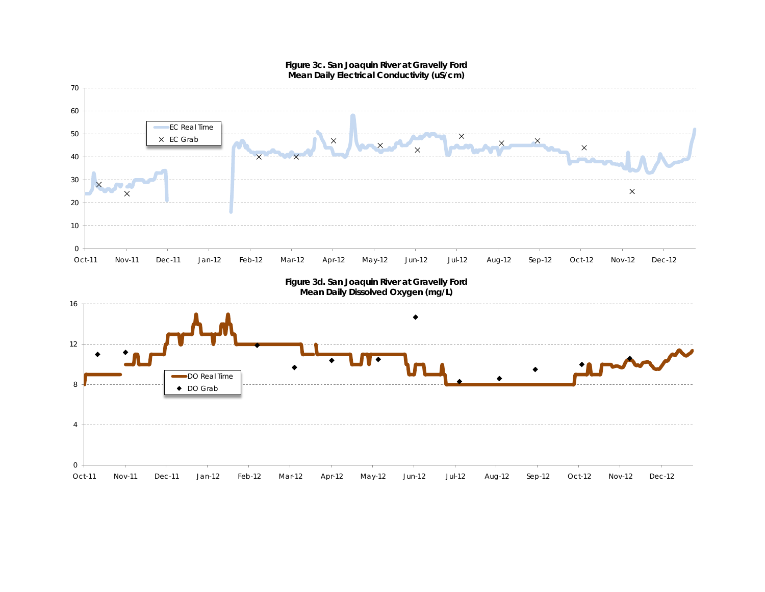

**Figure 3c. San Joaquin River at Gravelly Ford Mean Daily Electrical Conductivity (uS/cm)**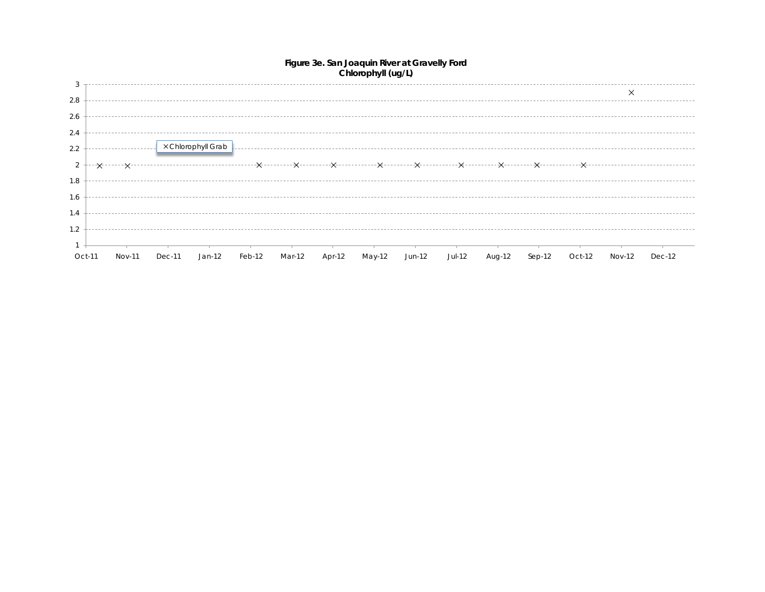

#### **Figure 3e. San Joaquin River at Gravelly Ford Chlorophyll (ug/L)**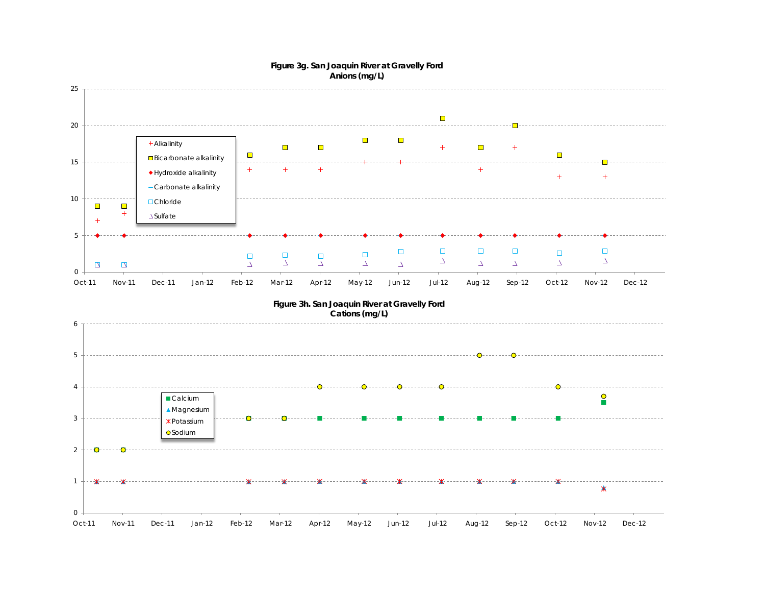

#### **Figure 3g. San Joaquin River at Gravelly Ford Anions (mg/L)**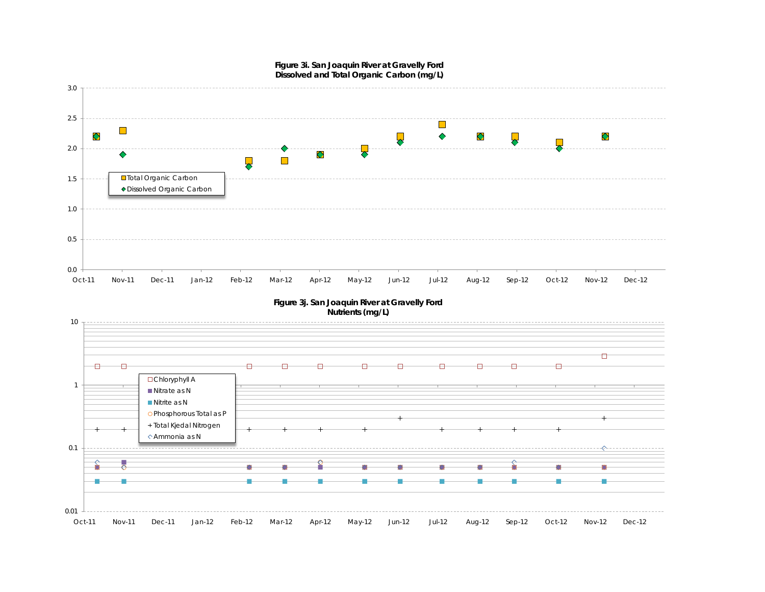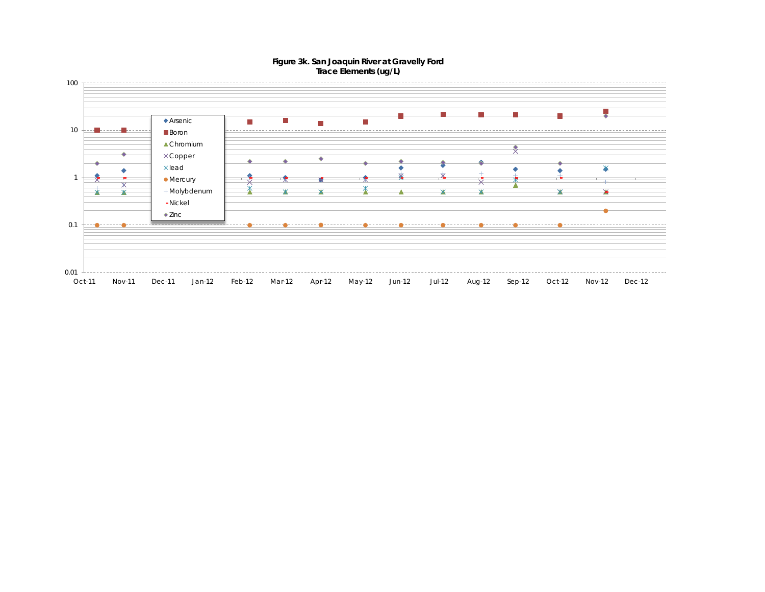

#### **Figure 3k. San Joaquin River at Gravelly Ford Trace Elements (ug/L)**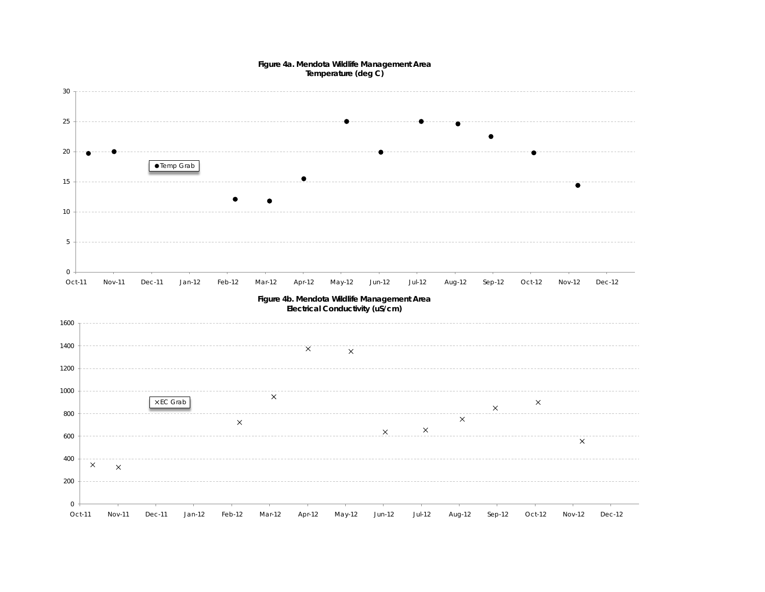

**Figure 4a. Mendota Wildlife Management Area**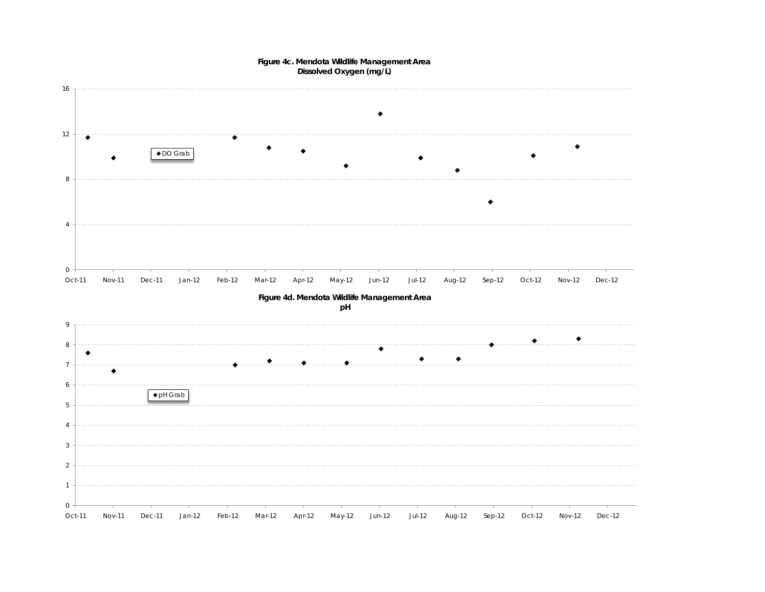

#### **Figure 4c. Mendota Wildlife Management Area Dissolved Oxygen (mg/L)**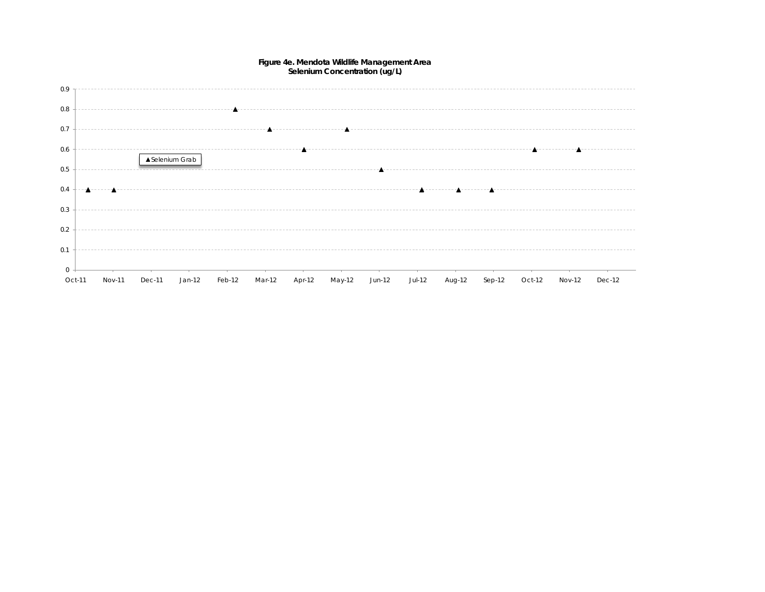

#### **Figure 4e. Mendota Wildlife Management Area Selenium Concentration (ug/L)**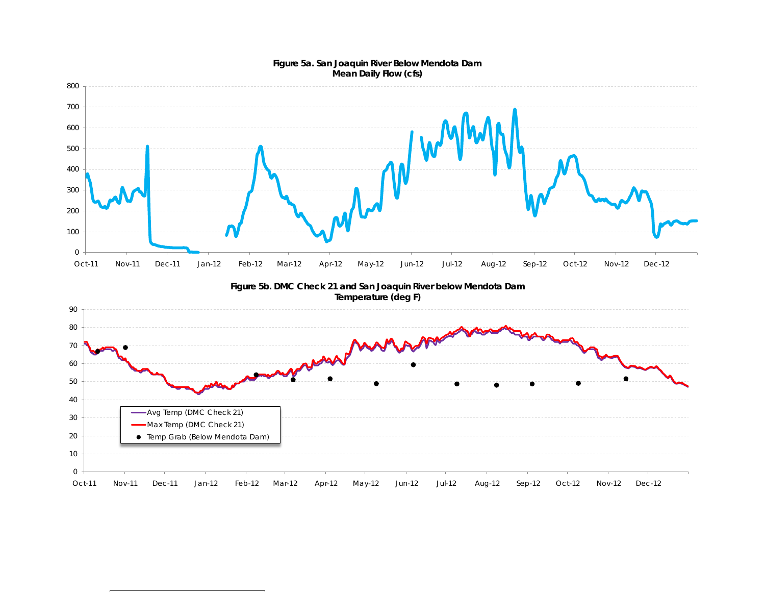

#### **Figure 5a. San Joaquin River Below Mendota Dam Mean Daily Flow (cfs)**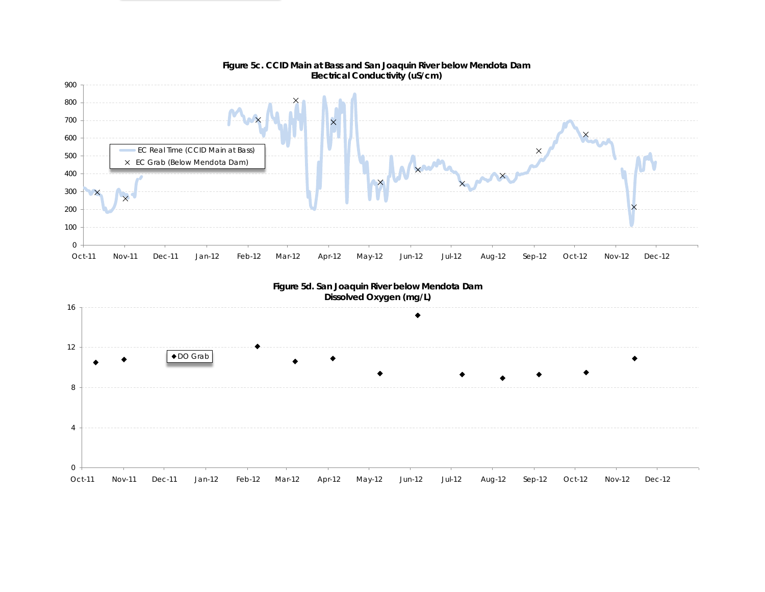



# **Figure 5c. CCID Main at Bass and San Joaquin River below Mendota Dam**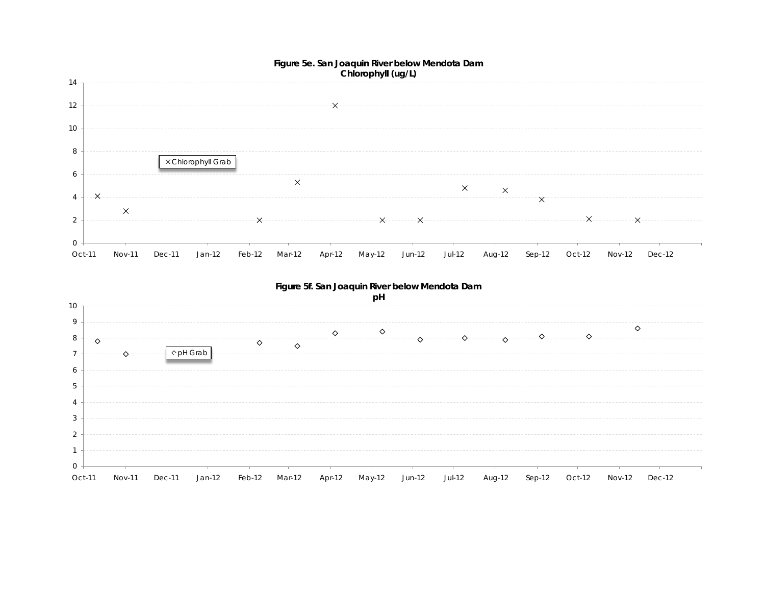



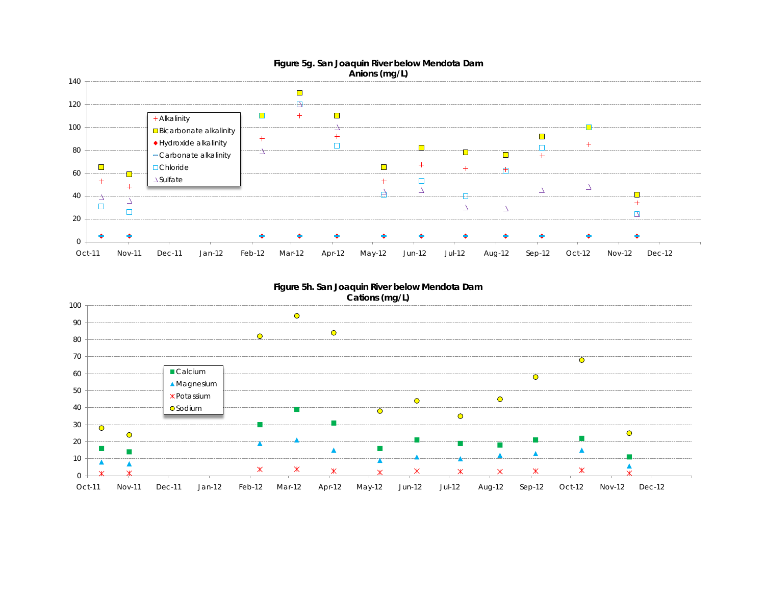

#### **Figure 5h. San Joaquin River below Mendota Dam Cations (mg/L)**

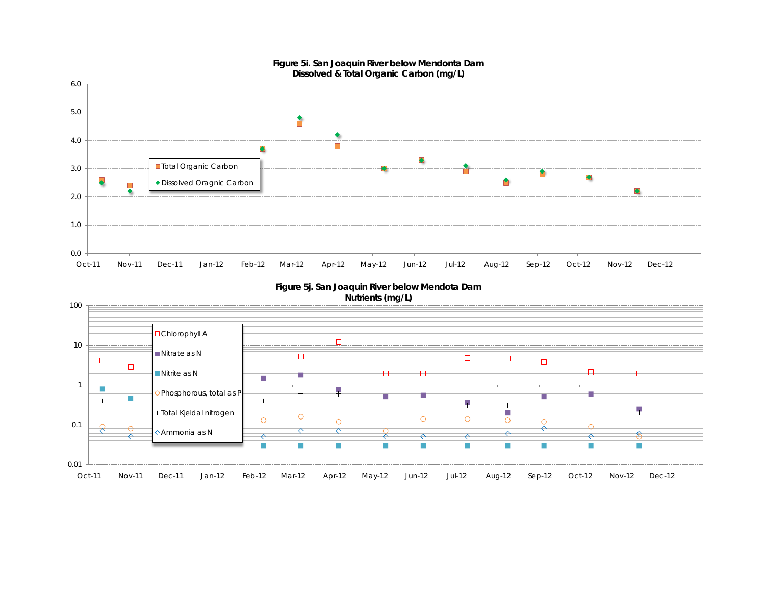

#### **Figure 5i. San Joaquin River below Mendonta Dam Dissolved & Total Organic Carbon (mg/L)**

**Figure 5j. San Joaquin River below Mendota Dam Nutrients (mg/L)**

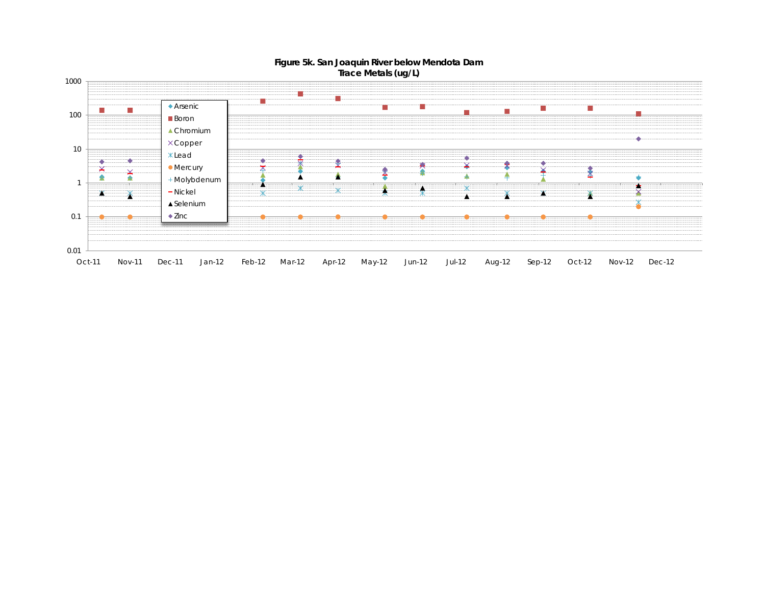

#### **Figure 5k. San Joaquin River below Mendota Dam Trace Metals (ug/L)**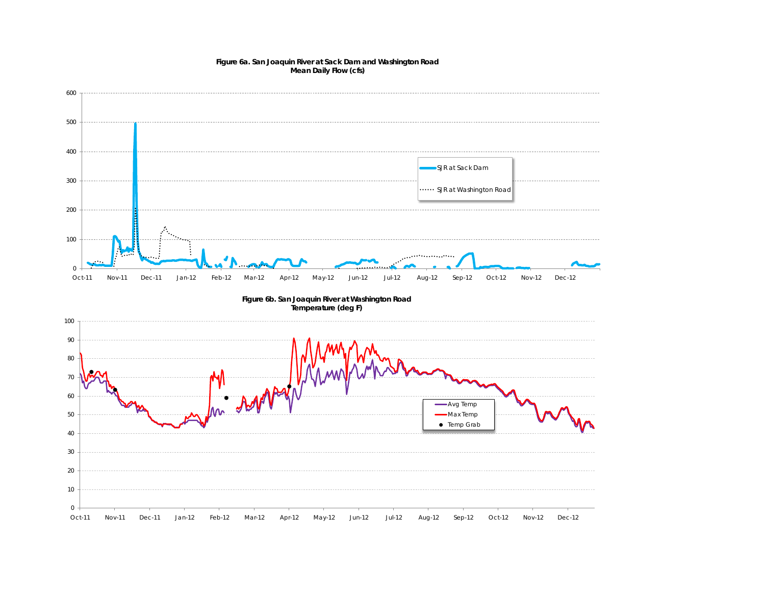

#### **Figure 6a. San Joaquin River at Sack Dam and Washington Road Mean Daily Flow (cfs)**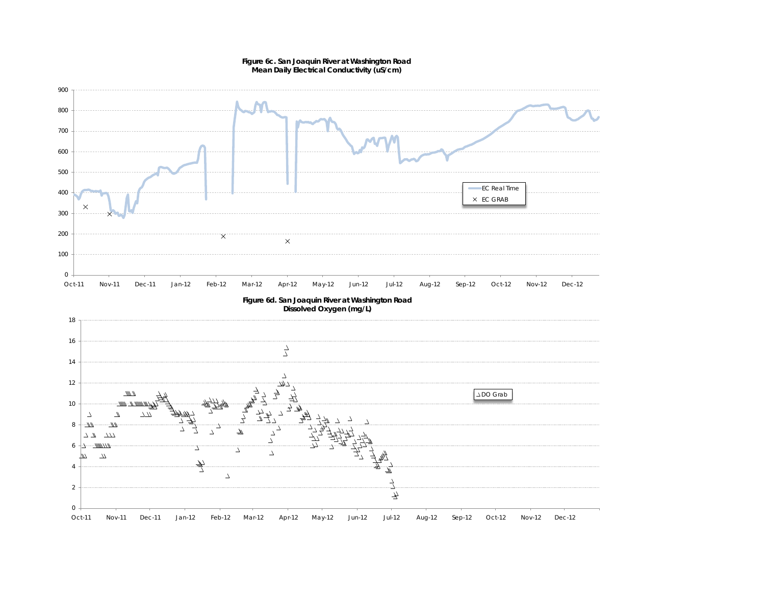

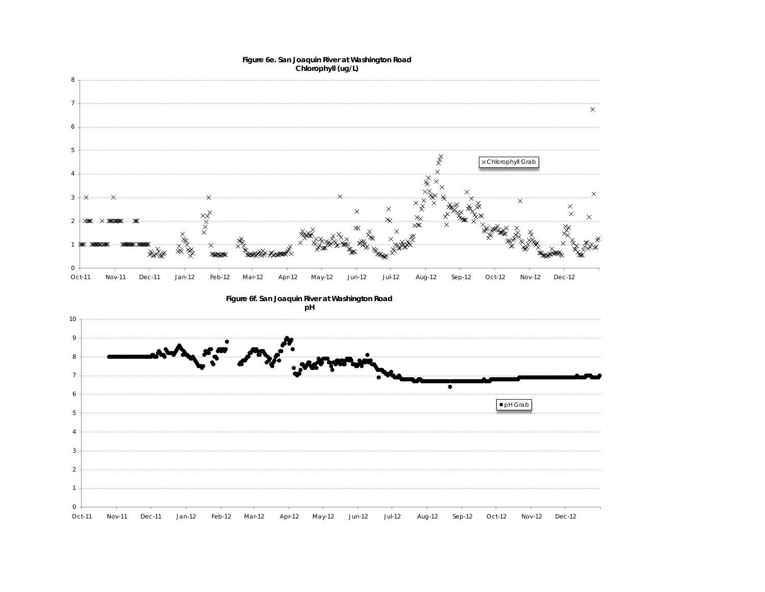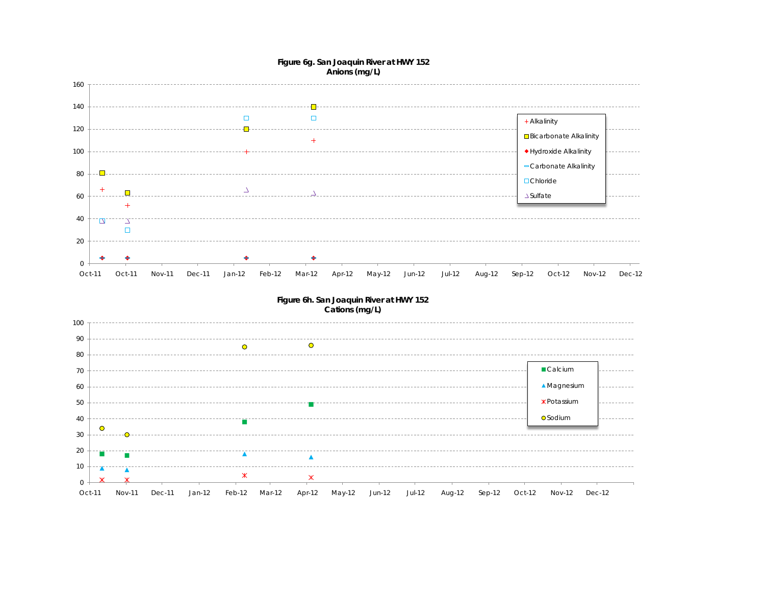

### **Figure 6g. San Joaquin River at HWY 152**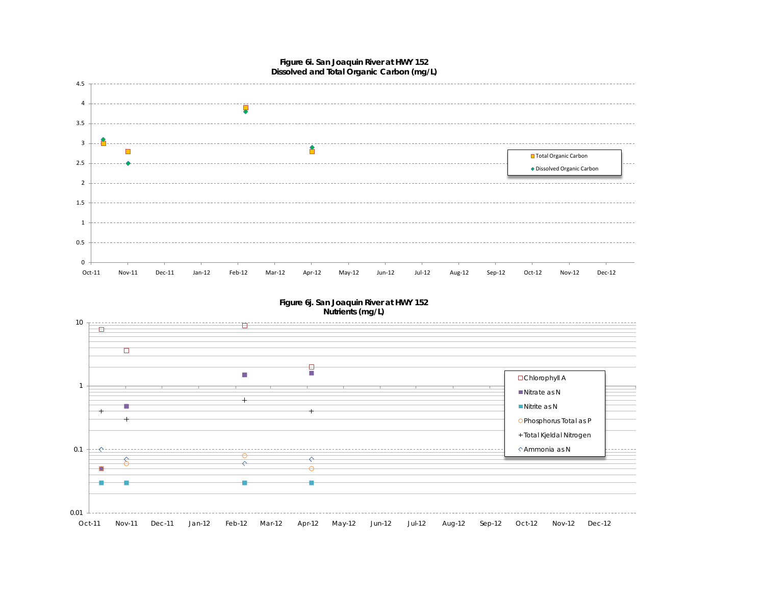

#### **Figure 6j. San Joaquin River at HWY 152 Nutrients (mg/L)**

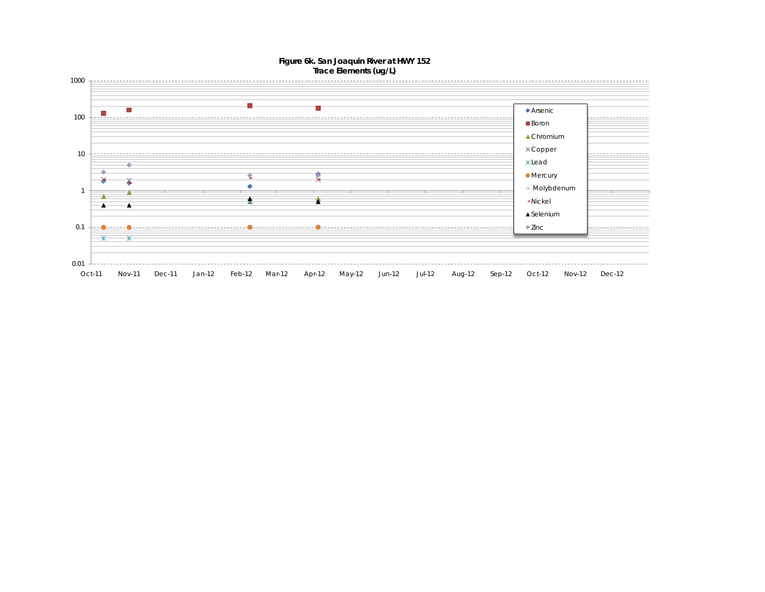#### **Figure 6k. San Joaquin River at HWY 152 Trace Elements (ug/L)**

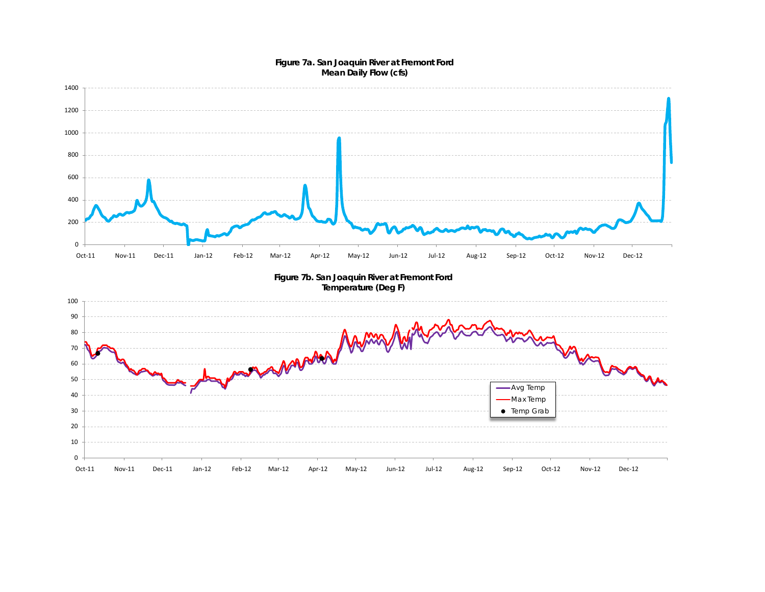

#### **Figure 7a. San Joaquin River at Fremont Ford Mean Daily Flow (cfs)**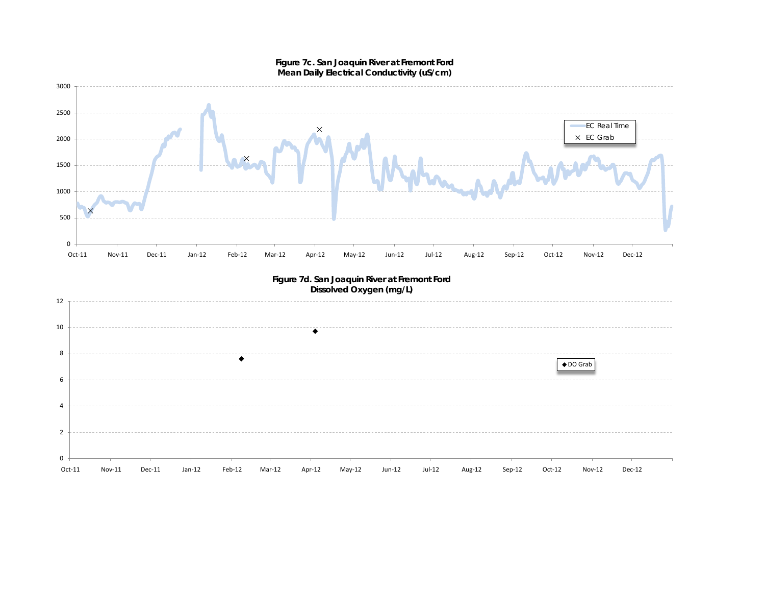

#### **Figure 7c. San Joaquin River at Fremont Ford Mean Daily Electrical Conductivity (uS/cm)**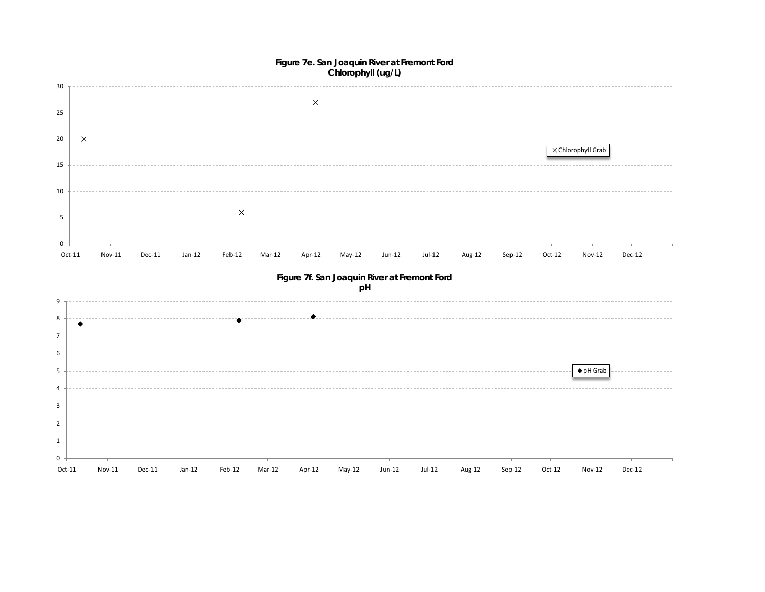#### **Figure 7e. San Joaquin River at Fremont Ford Chlorophyll (ug/L)**

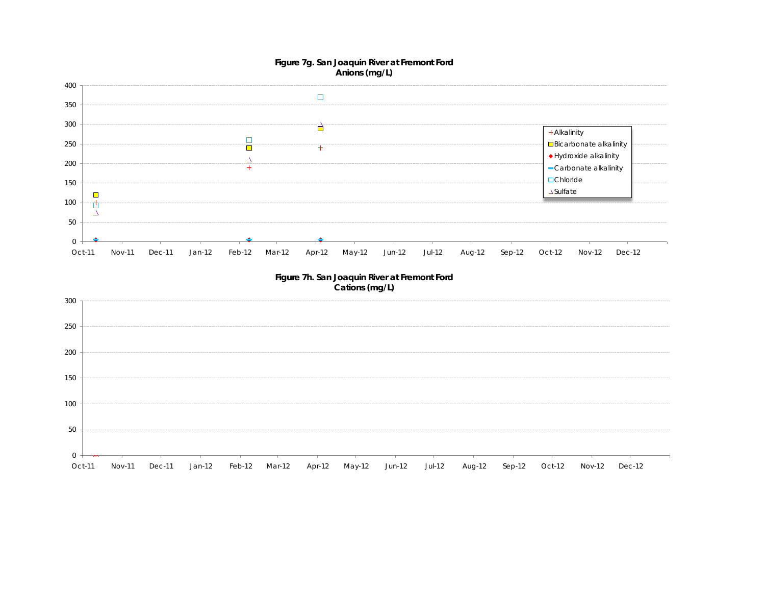#### **Figure 7g. San Joaquin River at Fremont Ford Anions (mg/L)**



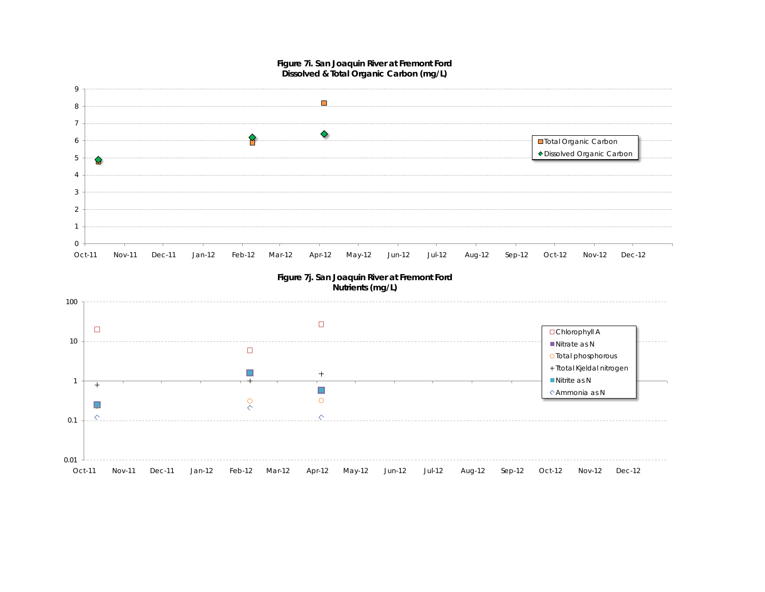

**Figure 7i. San Joaquin River at Fremont Ford**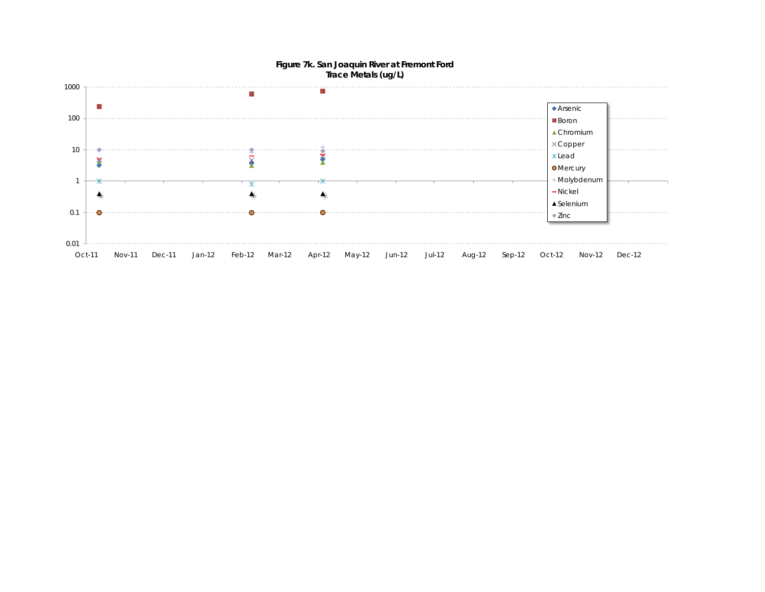

#### **Figure 7k. San Joaquin River at Fremont Ford Trace Metals (ug/L)**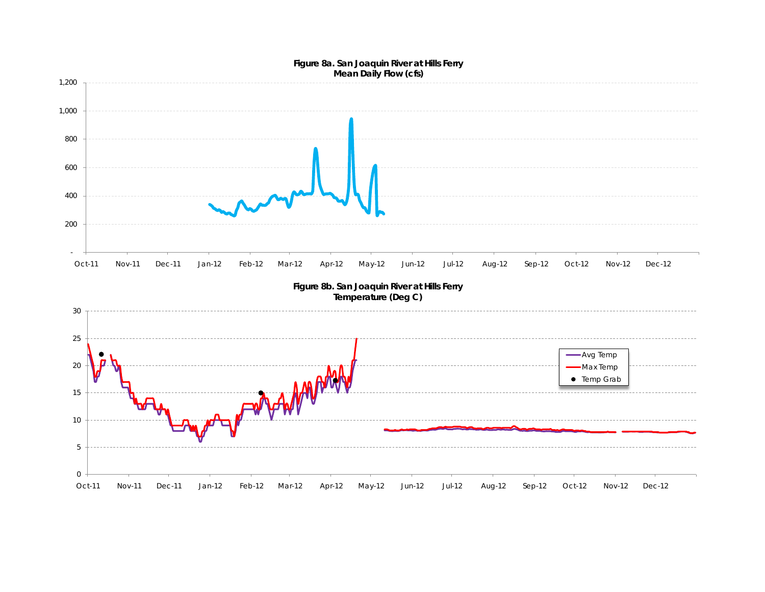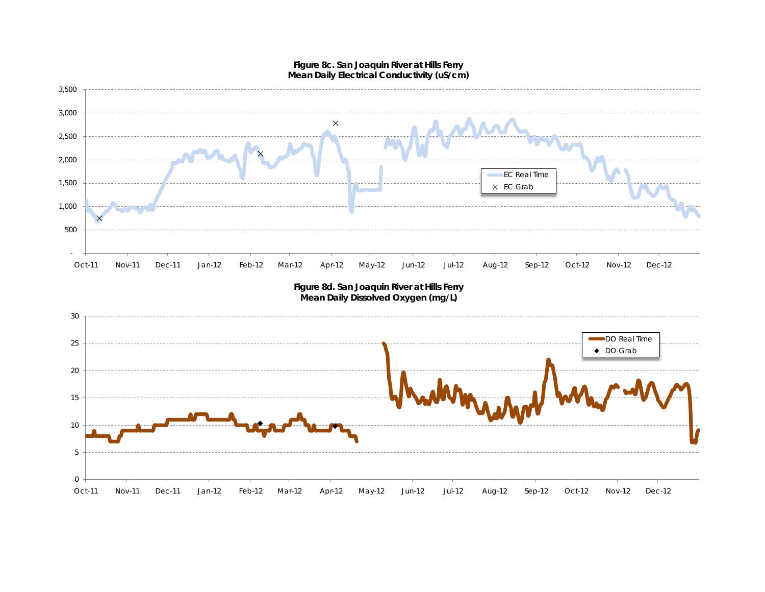

# **Figure 8c. San Joaquin River at Hills Ferry**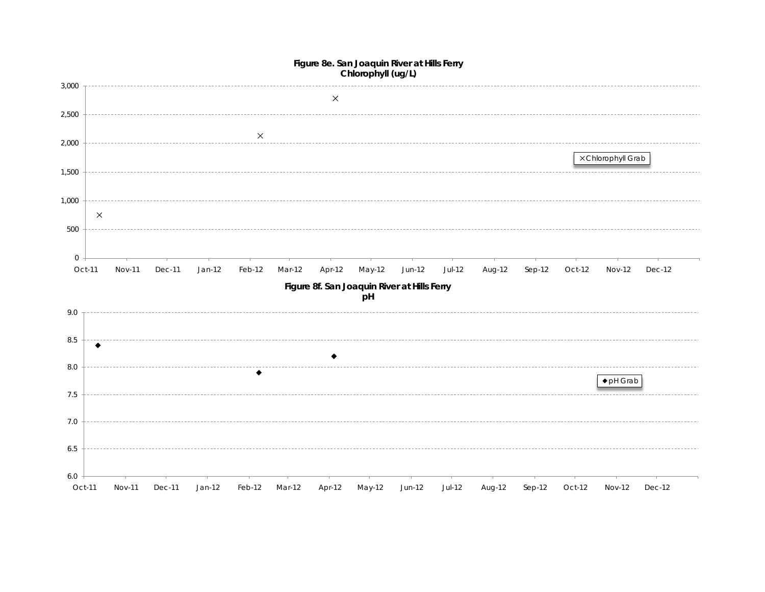

#### **Figure 8e. San Joaquin River at Hills Ferry Chlorophyll (ug/L)**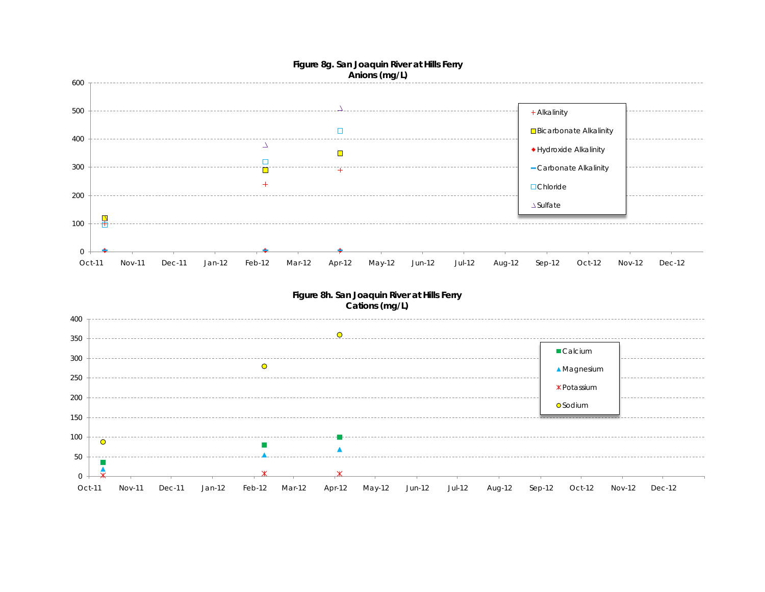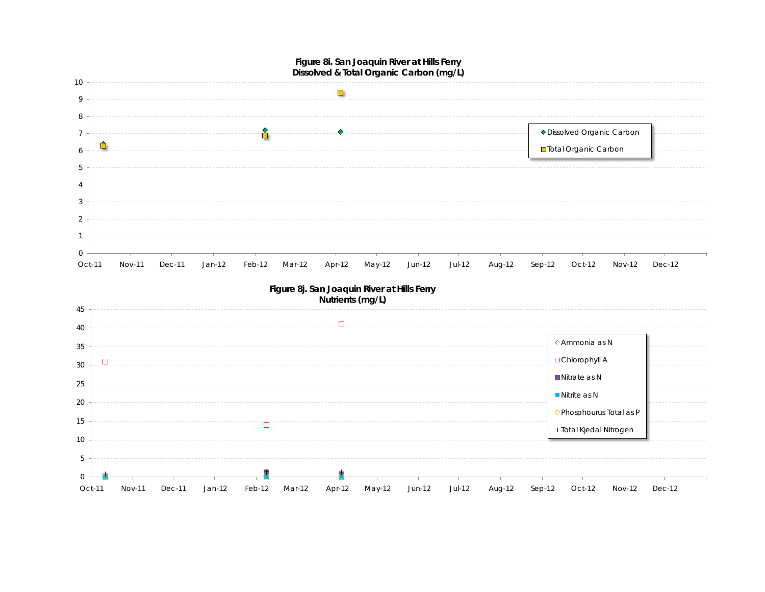

Nitrate as N **Nitrite as N** 

Phosphourus Total as P + Total Kjedal Nitrogen

Oct-11 Nov-11 Dec-11 Jan-12 Feb-12 Mar-12 Apr-12 May-12 Jun-12 Jul-12 Aug-12 Sep-12 Oct-12 Nov-12 Dec-12

 $\Box$ 

0 5

### **Figure 8i. San Joaquin River at Hills Ferry**